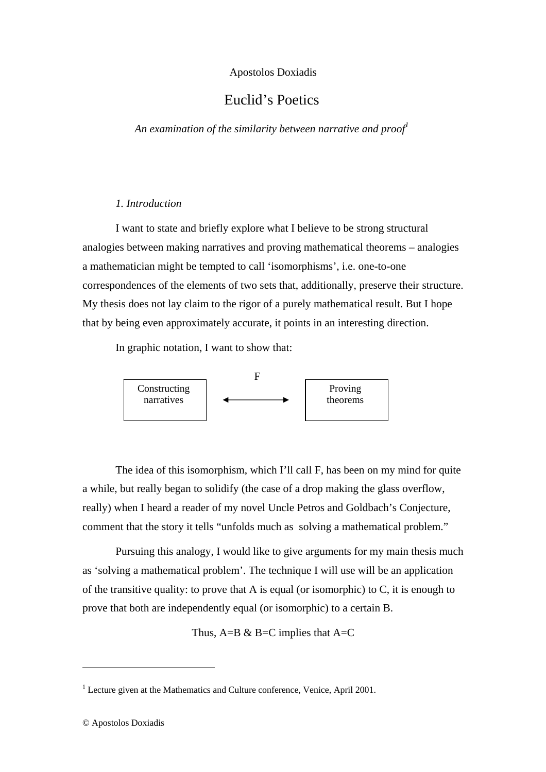## Apostolos Doxiadis

# Euclid's Poetics

An examination of the similarity between narrative and proof<sup>1</sup>

## *1. Introduction*

I want to state and briefly explore what I believe to be strong structural analogies between making narratives and proving mathematical theorems – analogies a mathematician might be tempted to call 'isomorphisms', i.e. one-to-one correspondences of the elements of two sets that, additionally, preserve their structure. My thesis does not lay claim to the rigor of a purely mathematical result. But I hope that by being even approximately accurate, it points in an interesting direction.

In graphic notation, I want to show that:



The idea of this isomorphism, which I'll call F, has been on my mind for quite a while, but really began to solidify (the case of a drop making the glass overflow, really) when I heard a reader of my novel Uncle Petros and Goldbach's Conjecture, comment that the story it tells "unfolds much as solving a mathematical problem."

Pursuing this analogy, I would like to give arguments for my main thesis much as 'solving a mathematical problem'. The technique I will use will be an application of the transitive quality: to prove that A is equal (or isomorphic) to C, it is enough to prove that both are independently equal (or isomorphic) to a certain B.

Thus,  $A=B \& B=C$  implies that  $A=C$ 

 $\overline{a}$ 

<span id="page-0-0"></span><sup>&</sup>lt;sup>1</sup> Lecture given at the Mathematics and Culture conference, Venice, April 2001.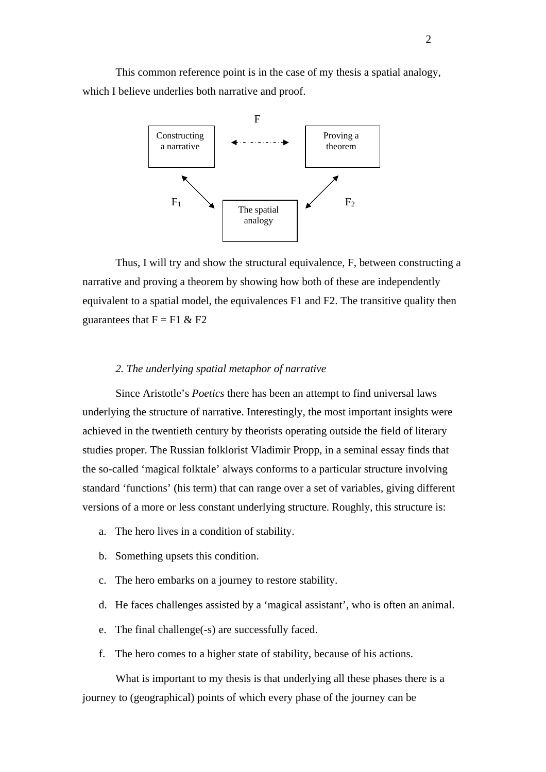This common reference point is in the case of my thesis a spatial analogy, which I believe underlies both narrative and proof.



Thus, I will try and show the structural equivalence, F, between constructing a narrative and proving a theorem by showing how both of these are independently equivalent to a spatial model, the equivalences F1 and F2. The transitive quality then guarantees that  $F = F1 \& F2$ 

#### *2. The underlying spatial metaphor of narrative*

Since Aristotle's *Poetics* there has been an attempt to find universal laws underlying the structure of narrative. Interestingly, the most important insights were achieved in the twentieth century by theorists operating outside the field of literary studies proper. The Russian folklorist Vladimir Propp, in a seminal essay finds that the so-called 'magical folktale' always conforms to a particular structure involving standard 'functions' (his term) that can range over a set of variables, giving different versions of a more or less constant underlying structure. Roughly, this structure is:

- a. The hero lives in a condition of stability.
- b. Something upsets this condition.
- c. The hero embarks on a journey to restore stability.
- d. He faces challenges assisted by a 'magical assistant', who is often an animal.
- e. The final challenge(-s) are successfully faced.
- f. The hero comes to a higher state of stability, because of his actions.

What is important to my thesis is that underlying all these phases there is a journey to (geographical) points of which every phase of the journey can be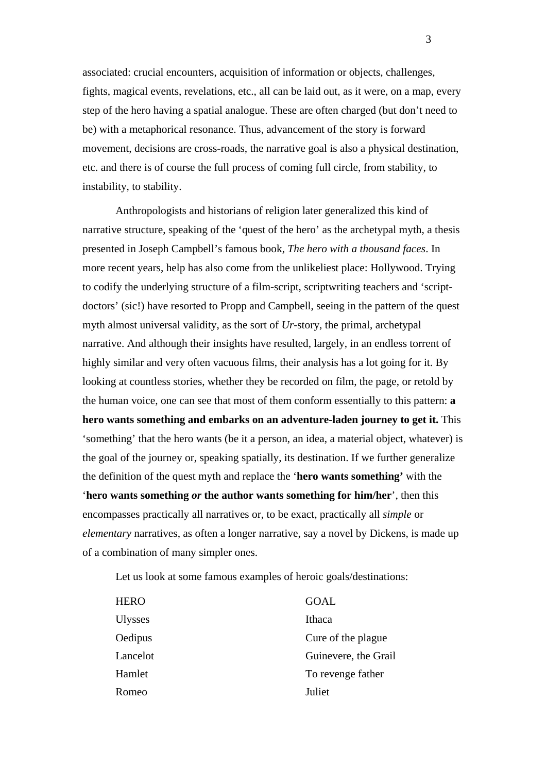associated: crucial encounters, acquisition of information or objects, challenges, fights, magical events, revelations, etc., all can be laid out, as it were, on a map, every step of the hero having a spatial analogue. These are often charged (but don't need to be) with a metaphorical resonance. Thus, advancement of the story is forward movement, decisions are cross-roads, the narrative goal is also a physical destination, etc. and there is of course the full process of coming full circle, from stability, to instability, to stability.

Anthropologists and historians of religion later generalized this kind of narrative structure, speaking of the 'quest of the hero' as the archetypal myth, a thesis presented in Joseph Campbell's famous book, *The hero with a thousand faces*. In more recent years, help has also come from the unlikeliest place: Hollywood. Trying to codify the underlying structure of a film-script, scriptwriting teachers and 'scriptdoctors' (sic!) have resorted to Propp and Campbell, seeing in the pattern of the quest myth almost universal validity, as the sort of *Ur*-story, the primal, archetypal narrative. And although their insights have resulted, largely, in an endless torrent of highly similar and very often vacuous films, their analysis has a lot going for it. By looking at countless stories, whether they be recorded on film, the page, or retold by the human voice, one can see that most of them conform essentially to this pattern: **a hero wants something and embarks on an adventure-laden journey to get it.** This 'something' that the hero wants (be it a person, an idea, a material object, whatever) is the goal of the journey or, speaking spatially, its destination. If we further generalize the definition of the quest myth and replace the '**hero wants something'** with the '**hero wants something** *or* **the author wants something for him/her**', then this encompasses practically all narratives or, to be exact, practically all *simple* or *elementary* narratives, as often a longer narrative, say a novel by Dickens, is made up of a combination of many simpler ones.

Let us look at some famous examples of heroic goals/destinations:

| <b>HERO</b>    | GOAL                 |
|----------------|----------------------|
| <b>Ulysses</b> | Ithaca               |
| Oedipus        | Cure of the plague   |
| Lancelot       | Guinevere, the Grail |
| Hamlet         | To revenge father    |
| Romeo          | Juliet               |
|                |                      |

3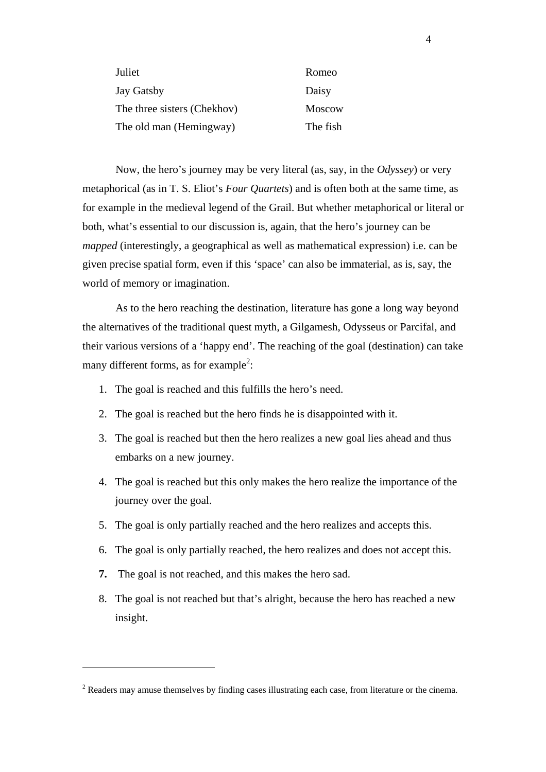| Juliet                      | Romeo         |
|-----------------------------|---------------|
| Jay Gatsby                  | Daisy         |
| The three sisters (Chekhov) | <b>Moscow</b> |
| The old man (Hemingway)     | The fish      |

Now, the hero's journey may be very literal (as, say, in the *Odyssey*) or very metaphorical (as in T. S. Eliot's *Four Quartets*) and is often both at the same time, as for example in the medieval legend of the Grail. But whether metaphorical or literal or both, what's essential to our discussion is, again, that the hero's journey can be *mapped* (interestingly, a geographical as well as mathematical expression) i.e. can be given precise spatial form, even if this 'space' can also be immaterial, as is, say, the world of memory or imagination.

As to the hero reaching the destination, literature has gone a long way beyond the alternatives of the traditional quest myth, a Gilgamesh, Odysseus or Parcifal, and their various versions of a 'happy end'. The reaching of the goal (destination) can take many different forms, as for example<sup>[2](#page-3-0)</sup>:

- 1. The goal is reached and this fulfills the hero's need.
- 2. The goal is reached but the hero finds he is disappointed with it.
- 3. The goal is reached but then the hero realizes a new goal lies ahead and thus embarks on a new journey.
- 4. The goal is reached but this only makes the hero realize the importance of the journey over the goal.
- 5. The goal is only partially reached and the hero realizes and accepts this.
- 6. The goal is only partially reached, the hero realizes and does not accept this.
- **7.** The goal is not reached, and this makes the hero sad.

 $\overline{a}$ 

8. The goal is not reached but that's alright, because the hero has reached a new insight.

<span id="page-3-0"></span> $2^2$  Readers may amuse themselves by finding cases illustrating each case, from literature or the cinema.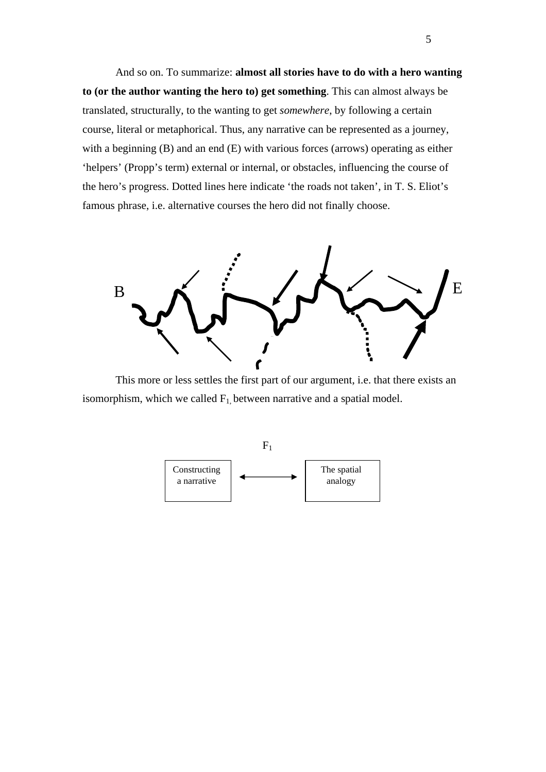And so on. To summarize: **almost all stories have to do with a hero wanting to (or the author wanting the hero to) get something**. This can almost always be translated, structurally, to the wanting to get *somewhere*, by following a certain course, literal or metaphorical. Thus, any narrative can be represented as a journey, with a beginning (B) and an end (E) with various forces (arrows) operating as either 'helpers' (Propp's term) external or internal, or obstacles, influencing the course of the hero's progress. Dotted lines here indicate 'the roads not taken', in T. S. Eliot's famous phrase, i.e. alternative courses the hero did not finally choose.



This more or less settles the first part of our argument, i.e. that there exists an isomorphism, which we called  $F_1$ , between narrative and a spatial model.

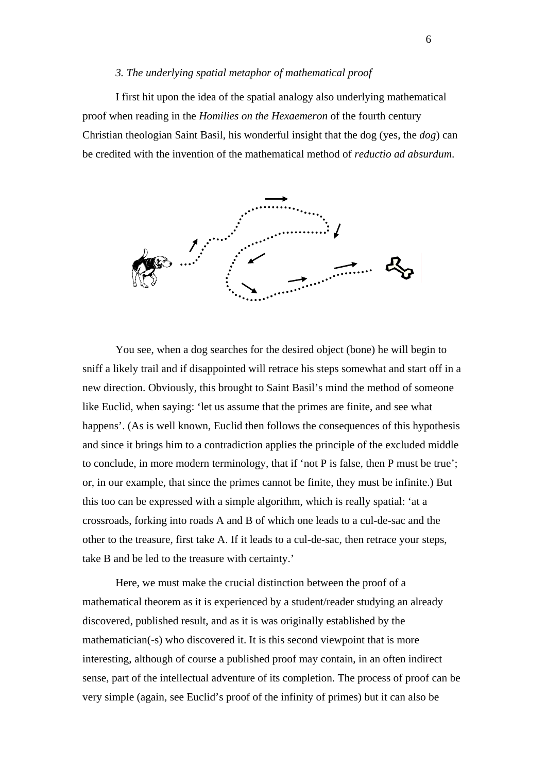#### *3. The underlying spatial metaphor of mathematical proof*

I first hit upon the idea of the spatial analogy also underlying mathematical proof when reading in the *Homilies on the Hexaemeron* of the fourth century Christian theologian Saint Basil, his wonderful insight that the dog (yes, the *dog*) can be credited with the invention of the mathematical method of *reductio ad absurdum*.



You see, when a dog searches for the desired object (bone) he will begin to sniff a likely trail and if disappointed will retrace his steps somewhat and start off in a new direction. Obviously, this brought to Saint Basil's mind the method of someone like Euclid, when saying: 'let us assume that the primes are finite, and see what happens'. (As is well known, Euclid then follows the consequences of this hypothesis and since it brings him to a contradiction applies the principle of the excluded middle to conclude, in more modern terminology, that if 'not P is false, then P must be true'; or, in our example, that since the primes cannot be finite, they must be infinite.) But this too can be expressed with a simple algorithm, which is really spatial: 'at a crossroads, forking into roads A and B of which one leads to a cul-de-sac and the other to the treasure, first take A. If it leads to a cul-de-sac, then retrace your steps, take B and be led to the treasure with certainty.'

Here, we must make the crucial distinction between the proof of a mathematical theorem as it is experienced by a student/reader studying an already discovered, published result, and as it is was originally established by the mathematician(-s) who discovered it. It is this second viewpoint that is more interesting, although of course a published proof may contain, in an often indirect sense, part of the intellectual adventure of its completion. The process of proof can be very simple (again, see Euclid's proof of the infinity of primes) but it can also be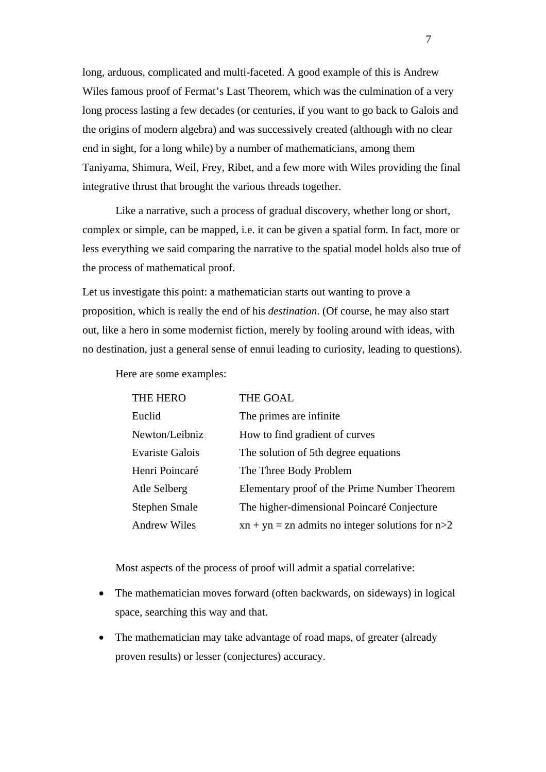long, arduous, complicated and multi-faceted. A good example of this is Andrew Wiles famous proof of Fermat's Last Theorem, which was the culmination of a very long process lasting a few decades (or centuries, if you want to go back to Galois and the origins of modern algebra) and was successively created (although with no clear end in sight, for a long while) by a number of mathematicians, among them Taniyama, Shimura, Weil, Frey, Ribet, and a few more with Wiles providing the final integrative thrust that brought the various threads together.

Like a narrative, such a process of gradual discovery, whether long or short, complex or simple, can be mapped, i.e. it can be given a spatial form. In fact, more or less everything we said comparing the narrative to the spatial model holds also true of the process of mathematical proof.

Let us investigate this point: a mathematician starts out wanting to prove a proposition, which is really the end of his *destination*. (Of course, he may also start out, like a hero in some modernist fiction, merely by fooling around with ideas, with no destination, just a general sense of ennui leading to curiosity, leading to questions).

Here are some examples:

| THE HERO               | <b>THE GOAL</b>                                        |
|------------------------|--------------------------------------------------------|
| Euclid                 | The primes are infinite.                               |
| Newton/Leibniz         | How to find gradient of curves                         |
| <b>Evariste Galois</b> | The solution of 5th degree equations                   |
| Henri Poincaré         | The Three Body Problem                                 |
| Atle Selberg           | Elementary proof of the Prime Number Theorem           |
| <b>Stephen Smale</b>   | The higher-dimensional Poincaré Conjecture             |
| <b>Andrew Wiles</b>    | $xn + yn = zn$ admits no integer solutions for $n > 2$ |

Most aspects of the process of proof will admit a spatial correlative:

- The mathematician moves forward (often backwards, on sideways) in logical space, searching this way and that.
- The mathematician may take advantage of road maps, of greater (already proven results) or lesser (conjectures) accuracy.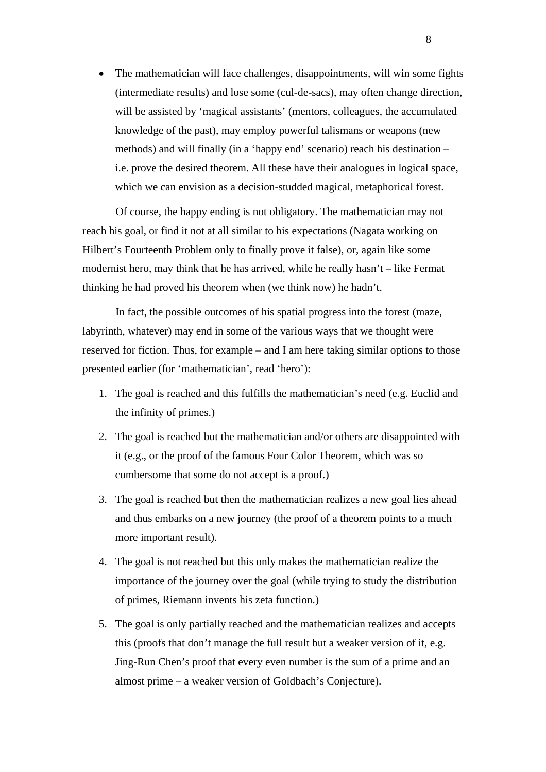• The mathematician will face challenges, disappointments, will win some fights (intermediate results) and lose some (cul-de-sacs), may often change direction, will be assisted by 'magical assistants' (mentors, colleagues, the accumulated knowledge of the past), may employ powerful talismans or weapons (new methods) and will finally (in a 'happy end' scenario) reach his destination – i.e. prove the desired theorem. All these have their analogues in logical space, which we can envision as a decision-studded magical, metaphorical forest.

Of course, the happy ending is not obligatory. The mathematician may not reach his goal, or find it not at all similar to his expectations (Nagata working on Hilbert's Fourteenth Problem only to finally prove it false), or, again like some modernist hero, may think that he has arrived, while he really hasn't – like Fermat thinking he had proved his theorem when (we think now) he hadn't.

In fact, the possible outcomes of his spatial progress into the forest (maze, labyrinth, whatever) may end in some of the various ways that we thought were reserved for fiction. Thus, for example – and I am here taking similar options to those presented earlier (for 'mathematician', read 'hero'):

- 1. The goal is reached and this fulfills the mathematician's need (e.g. Euclid and the infinity of primes.)
- 2. The goal is reached but the mathematician and/or others are disappointed with it (e.g., or the proof of the famous Four Color Theorem, which was so cumbersome that some do not accept is a proof.)
- 3. The goal is reached but then the mathematician realizes a new goal lies ahead and thus embarks on a new journey (the proof of a theorem points to a much more important result).
- 4. The goal is not reached but this only makes the mathematician realize the importance of the journey over the goal (while trying to study the distribution of primes, Riemann invents his zeta function.)
- 5. The goal is only partially reached and the mathematician realizes and accepts this (proofs that don't manage the full result but a weaker version of it, e.g. Jing-Run Chen's proof that every even number is the sum of a prime and an almost prime – a weaker version of Goldbach's Conjecture).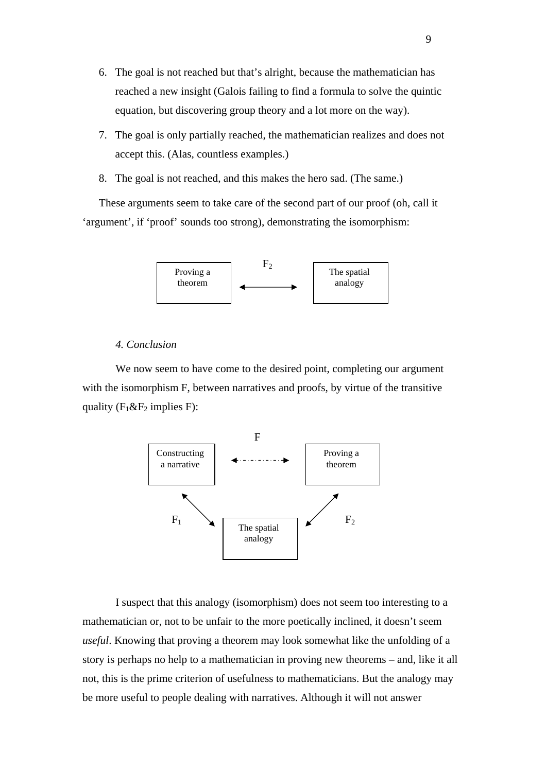- 6. The goal is not reached but that's alright, because the mathematician has reached a new insight (Galois failing to find a formula to solve the quintic equation, but discovering group theory and a lot more on the way).
- 7. The goal is only partially reached, the mathematician realizes and does not accept this. (Alas, countless examples.)
- 8. The goal is not reached, and this makes the hero sad. (The same.)

These arguments seem to take care of the second part of our proof (oh, call it 'argument', if 'proof' sounds too strong), demonstrating the isomorphism:



# *4. Conclusion*

We now seem to have come to the desired point, completing our argument with the isomorphism F, between narratives and proofs, by virtue of the transitive quality ( $F_1 \& F_2$  implies F):



I suspect that this analogy (isomorphism) does not seem too interesting to a mathematician or, not to be unfair to the more poetically inclined, it doesn't seem *useful*. Knowing that proving a theorem may look somewhat like the unfolding of a story is perhaps no help to a mathematician in proving new theorems – and, like it all not, this is the prime criterion of usefulness to mathematicians. But the analogy may be more useful to people dealing with narratives. Although it will not answer